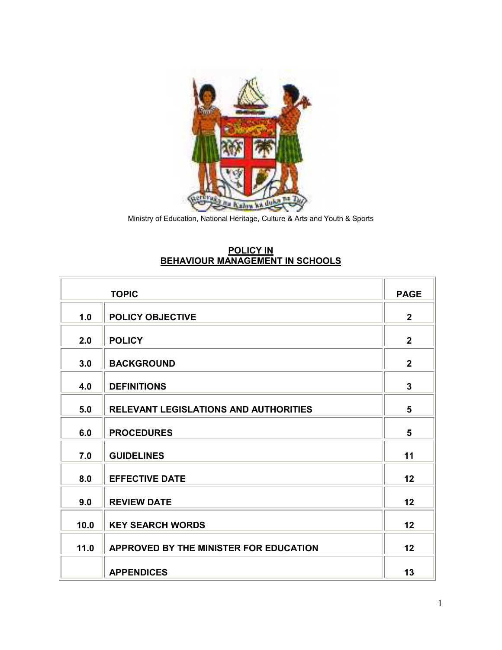

Ministry of Education, National Heritage, Culture & Arts and Youth & Sports

# **POLICY IN BEHAVIOUR MANAGEMENT IN SCHOOLS**

|      | <b>TOPIC</b>                                 | <b>PAGE</b>    |
|------|----------------------------------------------|----------------|
| 1.0  | <b>POLICY OBJECTIVE</b>                      | $\overline{2}$ |
| 2.0  | <b>POLICY</b>                                | $\overline{2}$ |
| 3.0  | <b>BACKGROUND</b>                            | $\overline{2}$ |
| 4.0  | <b>DEFINITIONS</b>                           | 3              |
| 5.0  | <b>RELEVANT LEGISLATIONS AND AUTHORITIES</b> | 5              |
| 6.0  | <b>PROCEDURES</b>                            | 5              |
| 7.0  | <b>GUIDELINES</b>                            | 11             |
| 8.0  | <b>EFFECTIVE DATE</b>                        | 12             |
|      |                                              |                |
| 9.0  | <b>REVIEW DATE</b>                           | 12             |
| 10.0 | <b>KEY SEARCH WORDS</b>                      | 12             |
| 11.0 | APPROVED BY THE MINISTER FOR EDUCATION       | 12             |
|      | <b>APPENDICES</b>                            | 13             |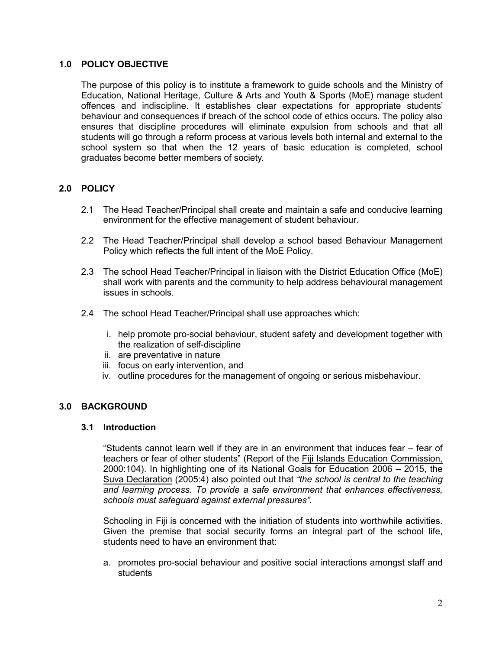# **1.0 POLICY OBJECTIVE**

The purpose of this policy is to institute a framework to guide schools and the Ministry of Education, National Heritage, Culture & Arts and Youth & Sports (MoE) manage student offences and indiscipline. It establishes clear expectations for appropriate students' behaviour and consequences if breach of the school code of ethics occurs. The policy also ensures that discipline procedures will eliminate expulsion from schools and that all students will go through a reform process at various levels both internal and external to the school system so that when the 12 years of basic education is completed, school graduates become better members of society.

# **2.0 POLICY**

- 2.1 The Head Teacher/Principal shall create and maintain a safe and conducive learning environment for the effective management of student behaviour.
- 2.2 The Head Teacher/Principal shall develop a school based Behaviour Management Policy which reflects the full intent of the MoE Policy.
- 2.3 The school Head Teacher/Principal in liaison with the District Education Office (MoE) shall work with parents and the community to help address behavioural management issues in schools.
- 2.4 The school Head Teacher/Principal shall use approaches which:
	- i. help promote pro-social behaviour, student safety and development together with the realization of self-discipline
	- ii. are preventative in nature
	- iii. focus on early intervention, and
	- iv. outline procedures for the management of ongoing or serious misbehaviour.

# **3.0 BACKGROUND**

#### **3.1 Introduction**

"Students cannot learn well if they are in an environment that induces fear – fear of teachers or fear of other students" (Report of the Fiji Islands Education Commission, 2000:104). In highlighting one of its National Goals for Education 2006 – 2015, the Suva Declaration (2005:4) also pointed out that *"the school is central to the teaching and learning process. To provide a safe environment that enhances effectiveness, schools must safeguard against external pressures".* 

Schooling in Fiji is concerned with the initiation of students into worthwhile activities. Given the premise that social security forms an integral part of the school life, students need to have an environment that:

a. promotes pro-social behaviour and positive social interactions amongst staff and students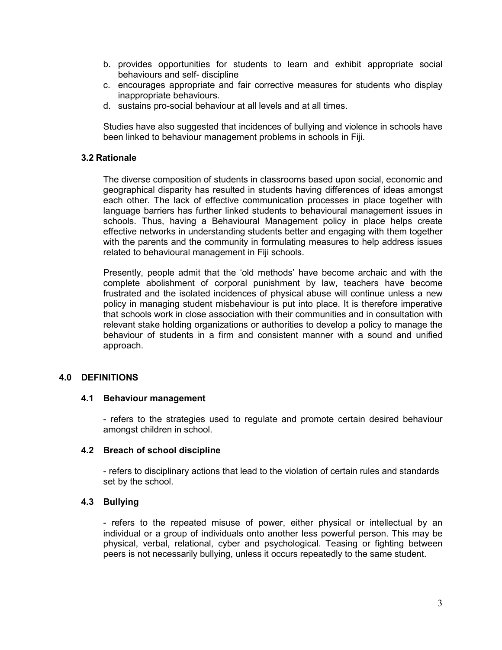- b. provides opportunities for students to learn and exhibit appropriate social behaviours and self- discipline
- c. encourages appropriate and fair corrective measures for students who display inappropriate behaviours.
- d. sustains pro-social behaviour at all levels and at all times.

Studies have also suggested that incidences of bullying and violence in schools have been linked to behaviour management problems in schools in Fiji.

## **3.2 Rationale**

The diverse composition of students in classrooms based upon social, economic and geographical disparity has resulted in students having differences of ideas amongst each other. The lack of effective communication processes in place together with language barriers has further linked students to behavioural management issues in schools. Thus, having a Behavioural Management policy in place helps create effective networks in understanding students better and engaging with them together with the parents and the community in formulating measures to help address issues related to behavioural management in Fiji schools.

Presently, people admit that the 'old methods' have become archaic and with the complete abolishment of corporal punishment by law, teachers have become frustrated and the isolated incidences of physical abuse will continue unless a new policy in managing student misbehaviour is put into place. It is therefore imperative that schools work in close association with their communities and in consultation with relevant stake holding organizations or authorities to develop a policy to manage the behaviour of students in a firm and consistent manner with a sound and unified approach.

# **4.0 DEFINITIONS**

#### **4.1 Behaviour management**

- refers to the strategies used to regulate and promote certain desired behaviour amongst children in school.

#### **4.2 Breach of school discipline**

- refers to disciplinary actions that lead to the violation of certain rules and standards set by the school.

# **4.3 Bullying**

- refers to the repeated misuse of power, either physical or intellectual by an individual or a group of individuals onto another less powerful person. This may be physical, verbal, relational, cyber and psychological. Teasing or fighting between peers is not necessarily bullying, unless it occurs repeatedly to the same student.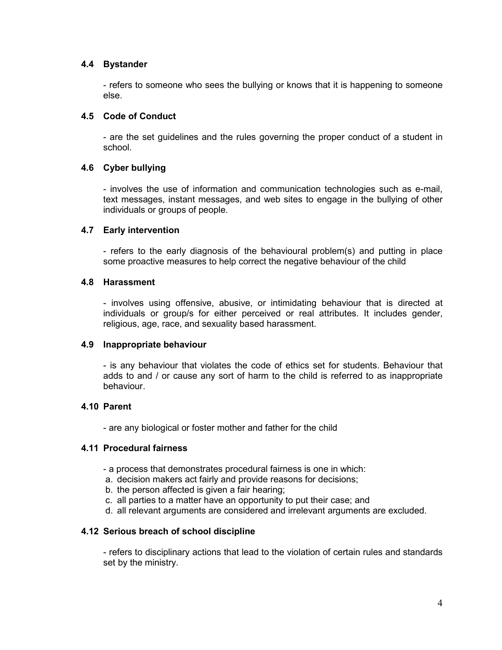# **4.4 Bystander**

- refers to someone who sees the bullying or knows that it is happening to someone else.

### **4.5 Code of Conduct**

- are the set guidelines and the rules governing the proper conduct of a student in school.

## **4.6 Cyber bullying**

- involves the use of information and communication technologies such as e-mail, text messages, instant messages, and web sites to engage in the bullying of other individuals or groups of people.

## **4.7 Early intervention**

- refers to the early diagnosis of the behavioural problem(s) and putting in place some proactive measures to help correct the negative behaviour of the child

## **4.8 Harassment**

- involves using offensive, abusive, or intimidating behaviour that is directed at individuals or group/s for either perceived or real attributes. It includes gender, religious, age, race, and sexuality based harassment.

#### **4.9 Inappropriate behaviour**

- is any behaviour that violates the code of ethics set for students. Behaviour that adds to and / or cause any sort of harm to the child is referred to as inappropriate behaviour.

### **4.10 Parent**

- are any biological or foster mother and father for the child

#### **4.11 Procedural fairness**

- a process that demonstrates procedural fairness is one in which:
- a. decision makers act fairly and provide reasons for decisions;
- b. the person affected is given a fair hearing;
- c. all parties to a matter have an opportunity to put their case; and
- d. all relevant arguments are considered and irrelevant arguments are excluded.

# **4.12 Serious breach of school discipline**

- refers to disciplinary actions that lead to the violation of certain rules and standards set by the ministry.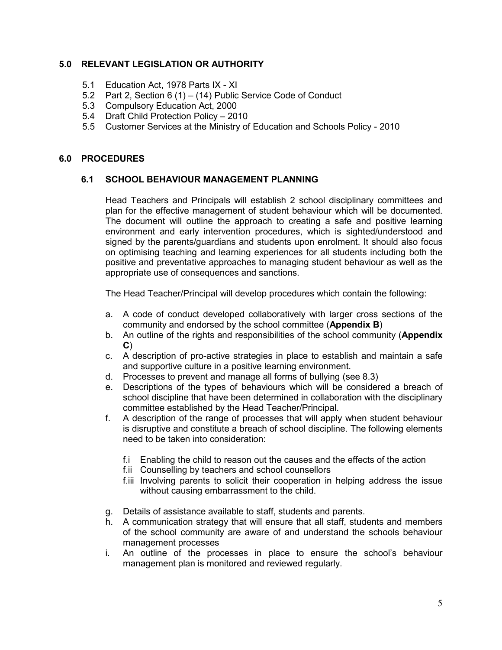# **5.0 RELEVANT LEGISLATION OR AUTHORITY**

- 5.1 Education Act, 1978 Parts IX XI
- 5.2 Part 2, Section 6 (1) (14) Public Service Code of Conduct
- 5.3 Compulsory Education Act, 2000
- 5.4 Draft Child Protection Policy 2010
- 5.5 Customer Services at the Ministry of Education and Schools Policy 2010

## **6.0 PROCEDURES**

## **6.1 SCHOOL BEHAVIOUR MANAGEMENT PLANNING**

Head Teachers and Principals will establish 2 school disciplinary committees and plan for the effective management of student behaviour which will be documented. The document will outline the approach to creating a safe and positive learning environment and early intervention procedures, which is sighted/understood and signed by the parents/guardians and students upon enrolment. It should also focus on optimising teaching and learning experiences for all students including both the positive and preventative approaches to managing student behaviour as well as the appropriate use of consequences and sanctions.

The Head Teacher/Principal will develop procedures which contain the following:

- a. A code of conduct developed collaboratively with larger cross sections of the community and endorsed by the school committee (**Appendix B**)
- b. An outline of the rights and responsibilities of the school community (**Appendix C**)
- c. A description of pro-active strategies in place to establish and maintain a safe and supportive culture in a positive learning environment.
- d. Processes to prevent and manage all forms of bullying (see 8.3)
- e. Descriptions of the types of behaviours which will be considered a breach of school discipline that have been determined in collaboration with the disciplinary committee established by the Head Teacher/Principal.
- f. A description of the range of processes that will apply when student behaviour is disruptive and constitute a breach of school discipline. The following elements need to be taken into consideration:
	- f.i Enabling the child to reason out the causes and the effects of the action
	- f.ii Counselling by teachers and school counsellors
	- f.iii Involving parents to solicit their cooperation in helping address the issue without causing embarrassment to the child.
- g. Details of assistance available to staff, students and parents.
- h. A communication strategy that will ensure that all staff, students and members of the school community are aware of and understand the schools behaviour management processes
- i. An outline of the processes in place to ensure the school's behaviour management plan is monitored and reviewed regularly.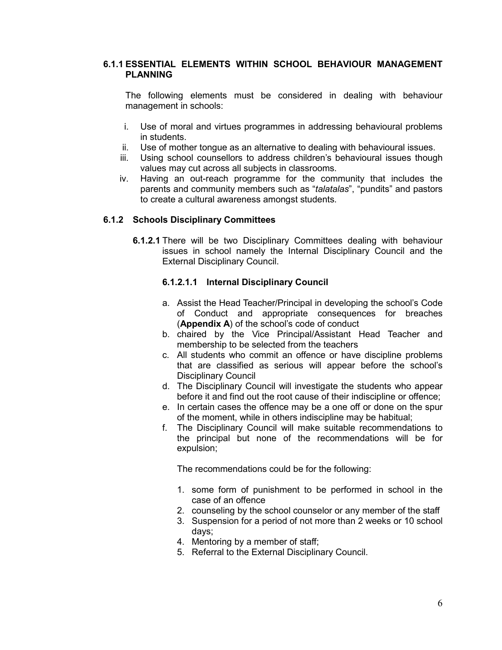## **6.1.1 ESSENTIAL ELEMENTS WITHIN SCHOOL BEHAVIOUR MANAGEMENT PLANNING**

The following elements must be considered in dealing with behaviour management in schools:

- i. Use of moral and virtues programmes in addressing behavioural problems in students.
- ii. Use of mother tongue as an alternative to dealing with behavioural issues.
- iii. Using school counsellors to address children's behavioural issues though values may cut across all subjects in classrooms.
- iv. Having an out-reach programme for the community that includes the parents and community members such as "*talatalas*", "pundits" and pastors to create a cultural awareness amongst students.

## **6.1.2 Schools Disciplinary Committees**

**6.1.2.1** There will be two Disciplinary Committees dealing with behaviour issues in school namely the Internal Disciplinary Council and the External Disciplinary Council.

## **6.1.2.1.1 Internal Disciplinary Council**

- a. Assist the Head Teacher/Principal in developing the school's Code of Conduct and appropriate consequences for breaches (**Appendix A**) of the school's code of conduct
- b. chaired by the Vice Principal/Assistant Head Teacher and membership to be selected from the teachers
- c. All students who commit an offence or have discipline problems that are classified as serious will appear before the school's Disciplinary Council
- d. The Disciplinary Council will investigate the students who appear before it and find out the root cause of their indiscipline or offence;
- e. In certain cases the offence may be a one off or done on the spur of the moment, while in others indiscipline may be habitual;
- f. The Disciplinary Council will make suitable recommendations to the principal but none of the recommendations will be for expulsion;

The recommendations could be for the following:

- 1. some form of punishment to be performed in school in the case of an offence
- 2. counseling by the school counselor or any member of the staff
- 3. Suspension for a period of not more than 2 weeks or 10 school days;
- 4. Mentoring by a member of staff;
- 5. Referral to the External Disciplinary Council.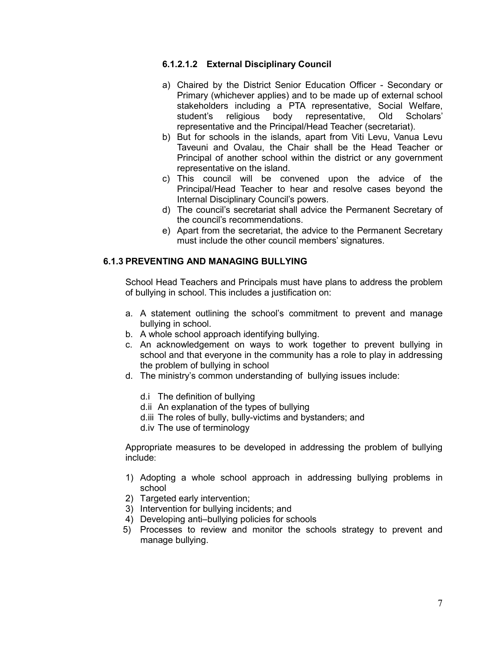# **6.1.2.1.2 External Disciplinary Council**

- a) Chaired by the District Senior Education Officer Secondary or Primary (whichever applies) and to be made up of external school stakeholders including a PTA representative, Social Welfare, student's religious body representative, Old Scholars' representative and the Principal/Head Teacher (secretariat).
- b) But for schools in the islands, apart from Viti Levu, Vanua Levu Taveuni and Ovalau, the Chair shall be the Head Teacher or Principal of another school within the district or any government representative on the island.
- c) This council will be convened upon the advice of the Principal/Head Teacher to hear and resolve cases beyond the Internal Disciplinary Council's powers.
- d) The council's secretariat shall advice the Permanent Secretary of the council's recommendations.
- e) Apart from the secretariat, the advice to the Permanent Secretary must include the other council members' signatures.

# **6.1.3 PREVENTING AND MANAGING BULLYING**

School Head Teachers and Principals must have plans to address the problem of bullying in school. This includes a justification on:

- a. A statement outlining the school's commitment to prevent and manage bullying in school.
- b. A whole school approach identifying bullying.
- c. An acknowledgement on ways to work together to prevent bullying in school and that everyone in the community has a role to play in addressing the problem of bullying in school
- d. The ministry's common understanding of bullying issues include:
	- d.i The definition of bullying
	- d.ii An explanation of the types of bullying
	- d.iii The roles of bully, bully-victims and bystanders; and
	- d.iv The use of terminology

Appropriate measures to be developed in addressing the problem of bullying include:

- 1) Adopting a whole school approach in addressing bullying problems in school
- 2) Targeted early intervention;
- 3) Intervention for bullying incidents; and
- 4) Developing anti–bullying policies for schools
- 5) Processes to review and monitor the schools strategy to prevent and manage bullying.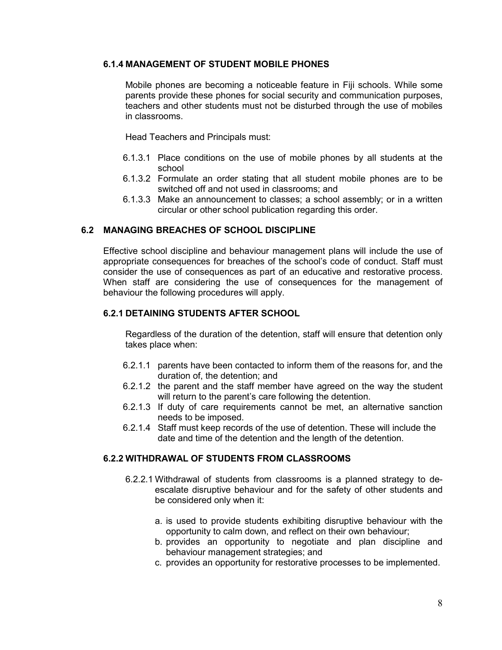# **6.1.4 MANAGEMENT OF STUDENT MOBILE PHONES**

Mobile phones are becoming a noticeable feature in Fiji schools. While some parents provide these phones for social security and communication purposes, teachers and other students must not be disturbed through the use of mobiles in classrooms.

Head Teachers and Principals must:

- 6.1.3.1 Place conditions on the use of mobile phones by all students at the school
- 6.1.3.2 Formulate an order stating that all student mobile phones are to be switched off and not used in classrooms; and
- 6.1.3.3 Make an announcement to classes; a school assembly; or in a written circular or other school publication regarding this order.

# **6.2 MANAGING BREACHES OF SCHOOL DISCIPLINE**

Effective school discipline and behaviour management plans will include the use of appropriate consequences for breaches of the school's code of conduct. Staff must consider the use of consequences as part of an educative and restorative process. When staff are considering the use of consequences for the management of behaviour the following procedures will apply.

# **6.2.1 DETAINING STUDENTS AFTER SCHOOL**

Regardless of the duration of the detention, staff will ensure that detention only takes place when:

- 6.2.1.1 parents have been contacted to inform them of the reasons for, and the duration of, the detention; and
- 6.2.1.2 the parent and the staff member have agreed on the way the student will return to the parent's care following the detention.
- 6.2.1.3 If duty of care requirements cannot be met, an alternative sanction needs to be imposed.
- 6.2.1.4 Staff must keep records of the use of detention. These will include the date and time of the detention and the length of the detention.

# **6.2.2 WITHDRAWAL OF STUDENTS FROM CLASSROOMS**

- 6.2.2.1 Withdrawal of students from classrooms is a planned strategy to deescalate disruptive behaviour and for the safety of other students and be considered only when it:
	- a. is used to provide students exhibiting disruptive behaviour with the opportunity to calm down, and reflect on their own behaviour;
	- b. provides an opportunity to negotiate and plan discipline and behaviour management strategies; and
	- c. provides an opportunity for restorative processes to be implemented.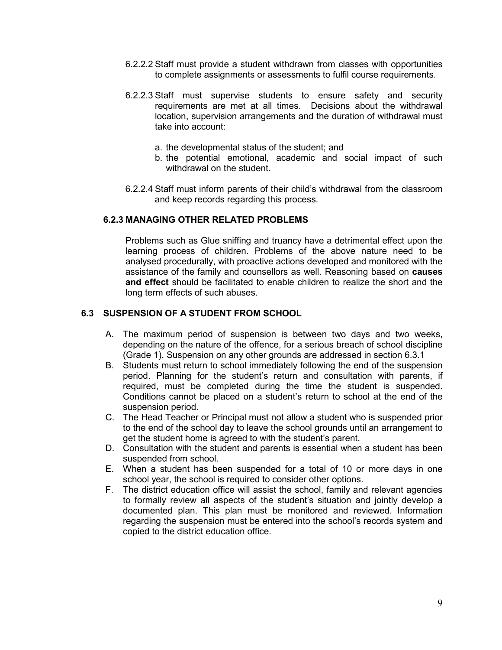- 6.2.2.2 Staff must provide a student withdrawn from classes with opportunities to complete assignments or assessments to fulfil course requirements.
- 6.2.2.3 Staff must supervise students to ensure safety and security requirements are met at all times. Decisions about the withdrawal location, supervision arrangements and the duration of withdrawal must take into account:
	- a. the developmental status of the student; and
	- b. the potential emotional, academic and social impact of such withdrawal on the student.
- 6.2.2.4 Staff must inform parents of their child's withdrawal from the classroom and keep records regarding this process.

#### **6.2.3 MANAGING OTHER RELATED PROBLEMS**

Problems such as Glue sniffing and truancy have a detrimental effect upon the learning process of children. Problems of the above nature need to be analysed procedurally, with proactive actions developed and monitored with the assistance of the family and counsellors as well. Reasoning based on **causes and effect** should be facilitated to enable children to realize the short and the long term effects of such abuses.

# **6.3 SUSPENSION OF A STUDENT FROM SCHOOL**

- A. The maximum period of suspension is between two days and two weeks, depending on the nature of the offence, for a serious breach of school discipline (Grade 1). Suspension on any other grounds are addressed in section 6.3.1
- B. Students must return to school immediately following the end of the suspension period. Planning for the student's return and consultation with parents, if required, must be completed during the time the student is suspended. Conditions cannot be placed on a student's return to school at the end of the suspension period.
- C. The Head Teacher or Principal must not allow a student who is suspended prior to the end of the school day to leave the school grounds until an arrangement to get the student home is agreed to with the student's parent.
- D. Consultation with the student and parents is essential when a student has been suspended from school.
- E. When a student has been suspended for a total of 10 or more days in one school year, the school is required to consider other options.
- F. The district education office will assist the school, family and relevant agencies to formally review all aspects of the student's situation and jointly develop a documented plan. This plan must be monitored and reviewed. Information regarding the suspension must be entered into the school's records system and copied to the district education office.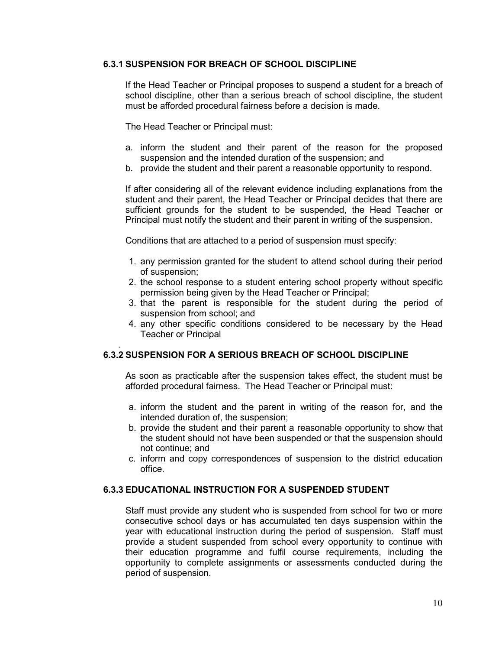# **6.3.1 SUSPENSION FOR BREACH OF SCHOOL DISCIPLINE**

If the Head Teacher or Principal proposes to suspend a student for a breach of school discipline, other than a serious breach of school discipline, the student must be afforded procedural fairness before a decision is made.

The Head Teacher or Principal must:

- a. inform the student and their parent of the reason for the proposed suspension and the intended duration of the suspension; and
- b. provide the student and their parent a reasonable opportunity to respond.

If after considering all of the relevant evidence including explanations from the student and their parent, the Head Teacher or Principal decides that there are sufficient grounds for the student to be suspended, the Head Teacher or Principal must notify the student and their parent in writing of the suspension.

Conditions that are attached to a period of suspension must specify:

- 1. any permission granted for the student to attend school during their period of suspension;
- 2. the school response to a student entering school property without specific permission being given by the Head Teacher or Principal;
- 3. that the parent is responsible for the student during the period of suspension from school; and
- 4. any other specific conditions considered to be necessary by the Head Teacher or Principal

#### . **6.3.2 SUSPENSION FOR A SERIOUS BREACH OF SCHOOL DISCIPLINE**

As soon as practicable after the suspension takes effect, the student must be afforded procedural fairness. The Head Teacher or Principal must:

- a. inform the student and the parent in writing of the reason for, and the intended duration of, the suspension;
- b. provide the student and their parent a reasonable opportunity to show that the student should not have been suspended or that the suspension should not continue; and
- c. inform and copy correspondences of suspension to the district education office.

# **6.3.3 EDUCATIONAL INSTRUCTION FOR A SUSPENDED STUDENT**

Staff must provide any student who is suspended from school for two or more consecutive school days or has accumulated ten days suspension within the year with educational instruction during the period of suspension. Staff must provide a student suspended from school every opportunity to continue with their education programme and fulfil course requirements, including the opportunity to complete assignments or assessments conducted during the period of suspension.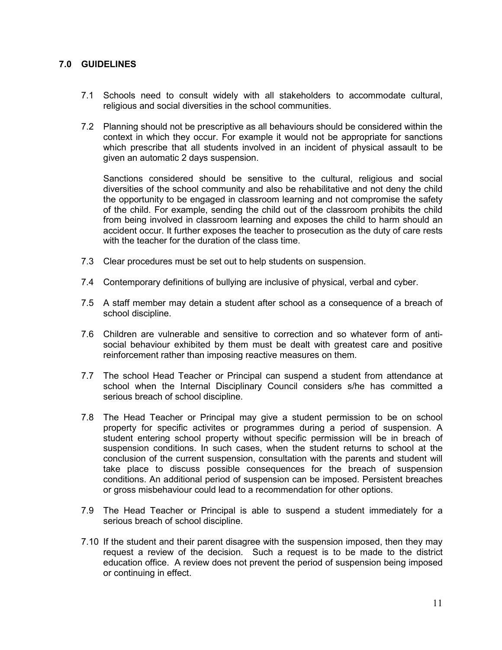# **7.0 GUIDELINES**

- 7.1 Schools need to consult widely with all stakeholders to accommodate cultural, religious and social diversities in the school communities.
- 7.2 Planning should not be prescriptive as all behaviours should be considered within the context in which they occur. For example it would not be appropriate for sanctions which prescribe that all students involved in an incident of physical assault to be given an automatic 2 days suspension.

Sanctions considered should be sensitive to the cultural, religious and social diversities of the school community and also be rehabilitative and not deny the child the opportunity to be engaged in classroom learning and not compromise the safety of the child. For example, sending the child out of the classroom prohibits the child from being involved in classroom learning and exposes the child to harm should an accident occur. It further exposes the teacher to prosecution as the duty of care rests with the teacher for the duration of the class time.

- 7.3 Clear procedures must be set out to help students on suspension.
- 7.4 Contemporary definitions of bullying are inclusive of physical, verbal and cyber.
- 7.5 A staff member may detain a student after school as a consequence of a breach of school discipline.
- 7.6 Children are vulnerable and sensitive to correction and so whatever form of antisocial behaviour exhibited by them must be dealt with greatest care and positive reinforcement rather than imposing reactive measures on them.
- 7.7 The school Head Teacher or Principal can suspend a student from attendance at school when the Internal Disciplinary Council considers s/he has committed a serious breach of school discipline.
- 7.8 The Head Teacher or Principal may give a student permission to be on school property for specific activites or programmes during a period of suspension. A student entering school property without specific permission will be in breach of suspension conditions. In such cases, when the student returns to school at the conclusion of the current suspension, consultation with the parents and student will take place to discuss possible consequences for the breach of suspension conditions. An additional period of suspension can be imposed. Persistent breaches or gross misbehaviour could lead to a recommendation for other options.
- 7.9 The Head Teacher or Principal is able to suspend a student immediately for a serious breach of school discipline.
- 7.10 If the student and their parent disagree with the suspension imposed, then they may request a review of the decision. Such a request is to be made to the district education office. A review does not prevent the period of suspension being imposed or continuing in effect.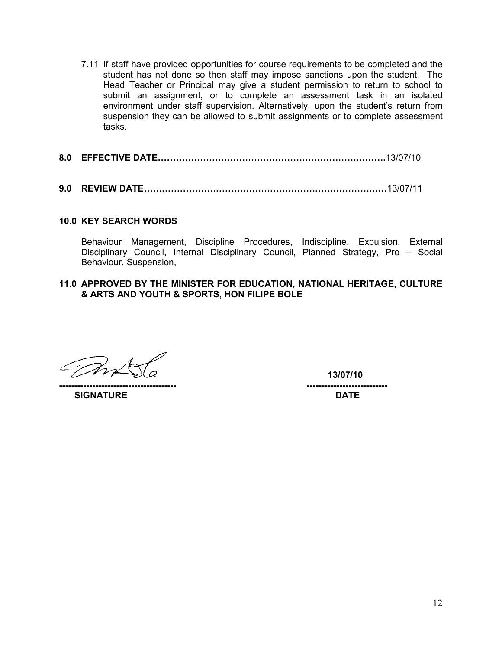- 7.11 If staff have provided opportunities for course requirements to be completed and the student has not done so then staff may impose sanctions upon the student. The Head Teacher or Principal may give a student permission to return to school to submit an assignment, or to complete an assessment task in an isolated environment under staff supervision. Alternatively, upon the student's return from suspension they can be allowed to submit assignments or to complete assessment tasks.
- **8.0 EFFECTIVE DATE………………………………………………………………….**13/07/10
- **9.0 REVIEW DATE………………………………………………………………………**13/07/11

#### **10.0 KEY SEARCH WORDS**

Behaviour Management, Discipline Procedures, Indiscipline, Expulsion, External Disciplinary Council, Internal Disciplinary Council, Planned Strategy, Pro – Social Behaviour, Suspension,

#### **11.0 APPROVED BY THE MINISTER FOR EDUCATION, NATIONAL HERITAGE, CULTURE & ARTS AND YOUTH & SPORTS, HON FILIPE BOLE**

 **13/07/10** 

**--------------------------------------- --------------------------- SIGNATURE DATE**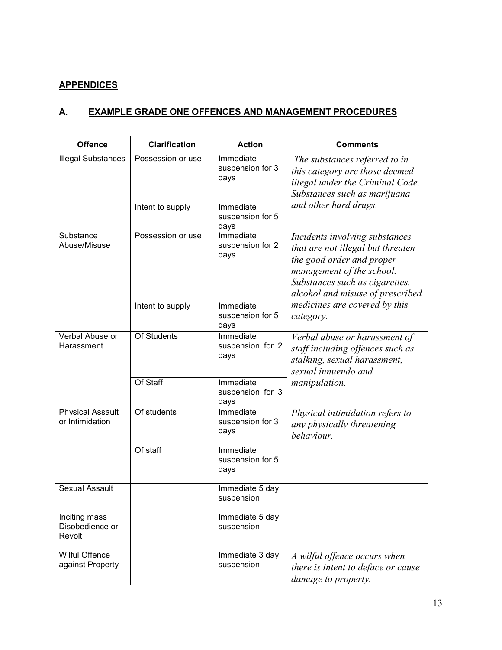# **APPENDICES**

# **A. EXAMPLE GRADE ONE OFFENCES AND MANAGEMENT PROCEDURES**

| <b>Offence</b>                             | <b>Clarification</b> | <b>Action</b>                         | <b>Comments</b>                                                                                                                                                                                     |
|--------------------------------------------|----------------------|---------------------------------------|-----------------------------------------------------------------------------------------------------------------------------------------------------------------------------------------------------|
| <b>Illegal Substances</b>                  | Possession or use    | Immediate<br>suspension for 3<br>days | The substances referred to in<br>this category are those deemed<br>illegal under the Criminal Code.<br>Substances such as marijuana                                                                 |
|                                            | Intent to supply     | Immediate<br>suspension for 5<br>days | and other hard drugs.                                                                                                                                                                               |
| Substance<br>Abuse/Misuse                  | Possession or use    | Immediate<br>suspension for 2<br>days | Incidents involving substances<br>that are not illegal but threaten<br>the good order and proper<br>management of the school.<br>Substances such as cigarettes,<br>alcohol and misuse of prescribed |
|                                            | Intent to supply     | Immediate<br>suspension for 5<br>days | medicines are covered by this<br>category.                                                                                                                                                          |
| Verbal Abuse or<br>Harassment              | <b>Of Students</b>   | Immediate<br>suspension for 2<br>days | Verbal abuse or harassment of<br>staff including offences such as<br>stalking, sexual harassment,<br>sexual innuendo and                                                                            |
|                                            | Of Staff             | Immediate<br>suspension for 3<br>days | <i>manipulation.</i>                                                                                                                                                                                |
| <b>Physical Assault</b><br>or Intimidation | Of students          | Immediate<br>suspension for 3<br>days | Physical intimidation refers to<br>any physically threatening<br>behaviour.                                                                                                                         |
|                                            | Of staff             | Immediate<br>suspension for 5<br>days |                                                                                                                                                                                                     |
| <b>Sexual Assault</b>                      |                      | Immediate 5 day<br>suspension         |                                                                                                                                                                                                     |
| Inciting mass<br>Disobedience or<br>Revolt |                      | Immediate 5 day<br>suspension         |                                                                                                                                                                                                     |
| <b>Wilful Offence</b><br>against Property  |                      | Immediate 3 day<br>suspension         | A wilful offence occurs when<br>there is intent to deface or cause<br>damage to property.                                                                                                           |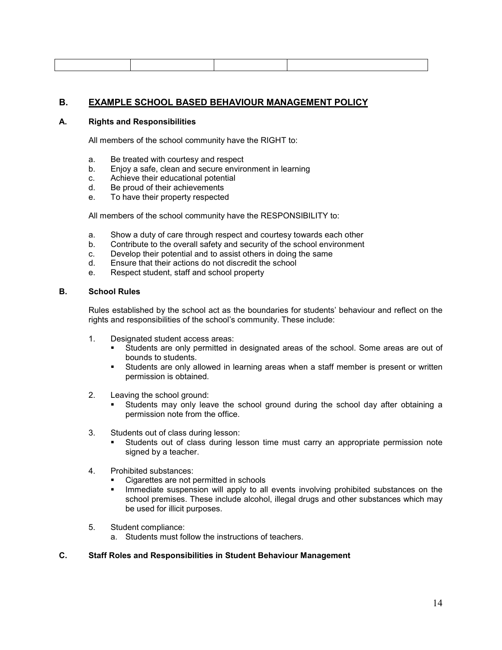# **B. EXAMPLE SCHOOL BASED BEHAVIOUR MANAGEMENT POLICY**

#### **A. Rights and Responsibilities**

All members of the school community have the RIGHT to:

- a. Be treated with courtesy and respect
- b. Enjoy a safe, clean and secure environment in learning
- c. Achieve their educational potential
- d. Be proud of their achievements
- e. To have their property respected

All members of the school community have the RESPONSIBILITY to:

- a. Show a duty of care through respect and courtesy towards each other
- b. Contribute to the overall safety and security of the school environment
- c. Develop their potential and to assist others in doing the same
- d. Ensure that their actions do not discredit the school
- e. Respect student, staff and school property

#### **B. School Rules**

Rules established by the school act as the boundaries for students' behaviour and reflect on the rights and responsibilities of the school's community. These include:

- 1. Designated student access areas:
	- § Students are only permitted in designated areas of the school. Some areas are out of bounds to students.
	- § Students are only allowed in learning areas when a staff member is present or written permission is obtained.
- 2. Leaving the school ground:
	- § Students may only leave the school ground during the school day after obtaining a permission note from the office.
- 3. Students out of class during lesson:
	- § Students out of class during lesson time must carry an appropriate permission note signed by a teacher.
- 4. Prohibited substances:
	- Cigarettes are not permitted in schools
	- **■** Immediate suspension will apply to all events involving prohibited substances on the school premises. These include alcohol, illegal drugs and other substances which may be used for illicit purposes.
- 5. Student compliance:
	- a. Students must follow the instructions of teachers.

#### **C. Staff Roles and Responsibilities in Student Behaviour Management**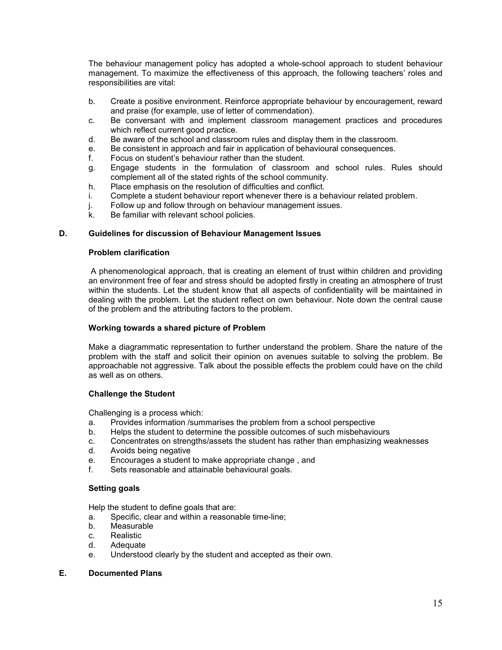The behaviour management policy has adopted a whole-school approach to student behaviour management. To maximize the effectiveness of this approach, the following teachers' roles and responsibilities are vital:

- b. Create a positive environment. Reinforce appropriate behaviour by encouragement, reward and praise (for example, use of letter of commendation).
- c. Be conversant with and implement classroom management practices and procedures which reflect current good practice.
- d. Be aware of the school and classroom rules and display them in the classroom.
- e. Be consistent in approach and fair in application of behavioural consequences.
- f. Focus on student's behaviour rather than the student.
- g. Engage students in the formulation of classroom and school rules. Rules should complement all of the stated rights of the school community.
- h. Place emphasis on the resolution of difficulties and conflict.
- i. Complete a student behaviour report whenever there is a behaviour related problem.
- j. Follow up and follow through on behaviour management issues.
- k. Be familiar with relevant school policies.

#### **D. Guidelines for discussion of Behaviour Management Issues**

#### **Problem clarification**

 A phenomenological approach, that is creating an element of trust within children and providing an environment free of fear and stress should be adopted firstly in creating an atmosphere of trust within the students. Let the student know that all aspects of confidentiality will be maintained in dealing with the problem. Let the student reflect on own behaviour. Note down the central cause of the problem and the attributing factors to the problem.

#### **Working towards a shared picture of Problem**

Make a diagrammatic representation to further understand the problem. Share the nature of the problem with the staff and solicit their opinion on avenues suitable to solving the problem. Be approachable not aggressive. Talk about the possible effects the problem could have on the child as well as on others.

#### **Challenge the Student**

Challenging is a process which:

- a. Provides information /summarises the problem from a school perspective
- b. Helps the student to determine the possible outcomes of such misbehaviours
- c. Concentrates on strengths/assets the student has rather than emphasizing weaknesses
- d. Avoids being negative
- e. Encourages a student to make appropriate change, and f. Sets reasonable and attainable behavioural goals.
- Sets reasonable and attainable behavioural goals.

#### **Setting goals**

Help the student to define goals that are:

- a. Specific, clear and within a reasonable time-line;
- b. Measurable
- c. Realistic
- d. Adequate
- e. Understood clearly by the student and accepted as their own.

#### **E. Documented Plans**